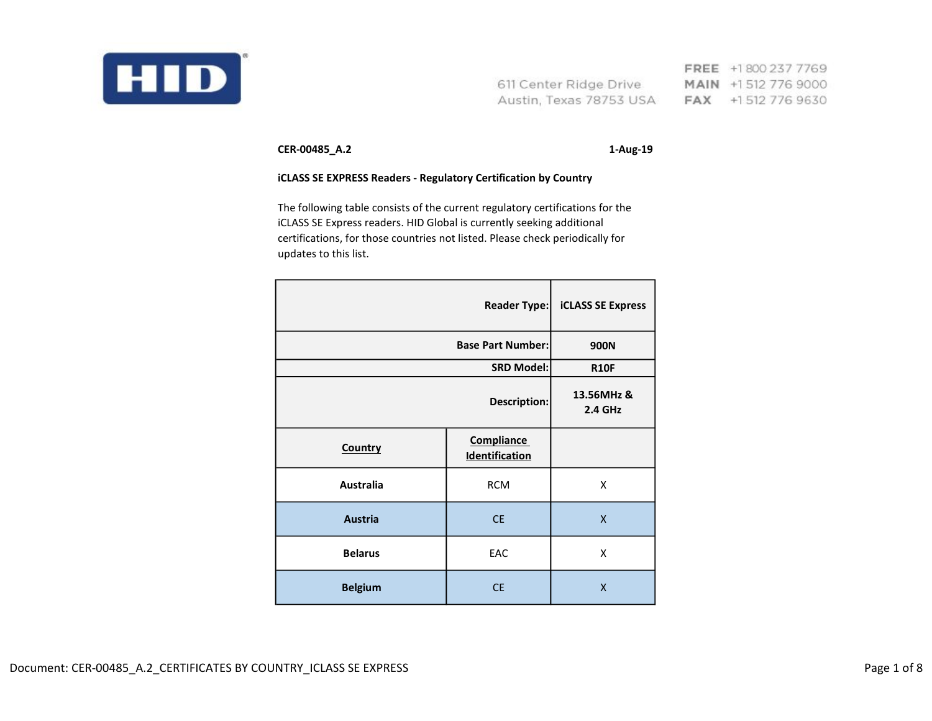

FREE +1800 237 7769 611 Center Ridge Drive MAIN +1512 776 9000 Austin, Texas 78753 USA FAX +1512 776 9630

CER-00485\_A.2 1-Aug-19

## iCLASS SE EXPRESS Readers - Regulatory Certification by Country

The following table consists of the current regulatory certifications for the iCLASS SE Express readers. HID Global is currently seeking additional certifications, for those countries not listed. Please check periodically for updates to this list.

|                          | <b>Reader Type:</b>                        | <b>iCLASS SE Express</b> |
|--------------------------|--------------------------------------------|--------------------------|
| <b>Base Part Number:</b> |                                            | 900N                     |
| <b>SRD Model:</b>        |                                            | <b>R10F</b>              |
| <b>Description:</b>      |                                            | 13.56MHz &<br>2.4 GHz    |
| Country                  | <b>Compliance</b><br><b>Identification</b> |                          |
| <b>Australia</b>         | <b>RCM</b>                                 | X                        |
| <b>Austria</b>           | <b>CE</b>                                  | $\mathsf{x}$             |
| <b>Belarus</b>           | EAC                                        | X                        |
| <b>Belgium</b>           | <b>CE</b>                                  | X                        |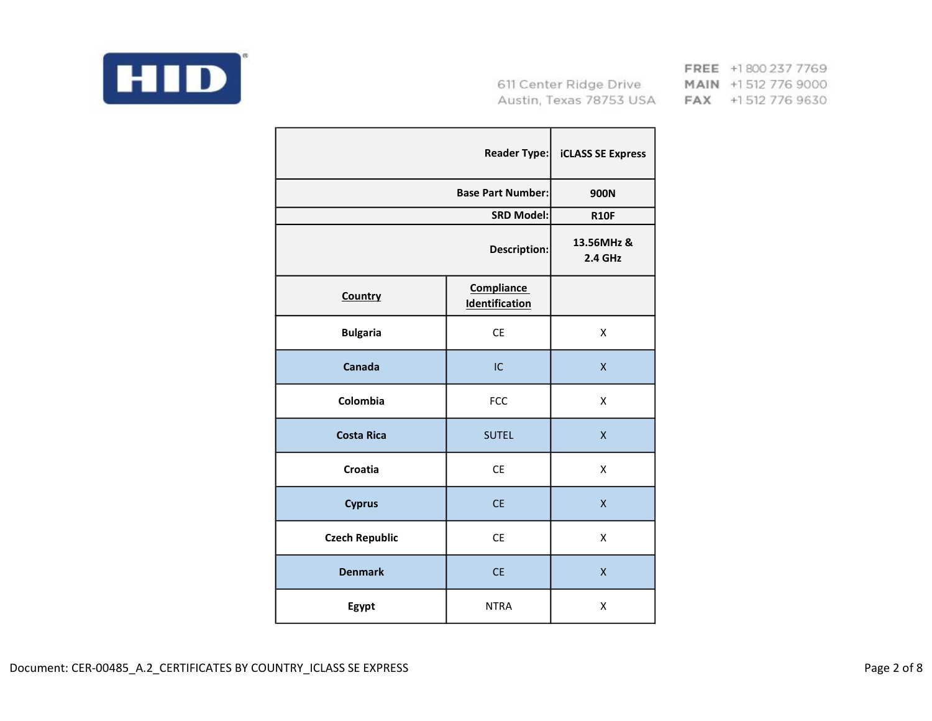

|                       | <b>Reader Type:</b>                        | <b>iCLASS SE Express</b>     |
|-----------------------|--------------------------------------------|------------------------------|
|                       | <b>Base Part Number:</b>                   | 900N                         |
|                       | <b>SRD Model:</b>                          | <b>R10F</b>                  |
|                       | Description:                               | 13.56MHz &<br><b>2.4 GHz</b> |
| Country               | <b>Compliance</b><br><b>Identification</b> |                              |
| <b>Bulgaria</b>       | <b>CE</b>                                  | X                            |
| Canada                | IC                                         | X                            |
| Colombia              | <b>FCC</b>                                 | X                            |
| <b>Costa Rica</b>     | <b>SUTEL</b>                               | $\mathsf{x}$                 |
| Croatia               | <b>CE</b>                                  | X                            |
| <b>Cyprus</b>         | <b>CE</b>                                  | $\pmb{\mathsf{X}}$           |
| <b>Czech Republic</b> | <b>CE</b>                                  | X                            |
| <b>Denmark</b>        | <b>CE</b>                                  | $\mathsf{x}$                 |
| Egypt                 | <b>NTRA</b>                                | Χ                            |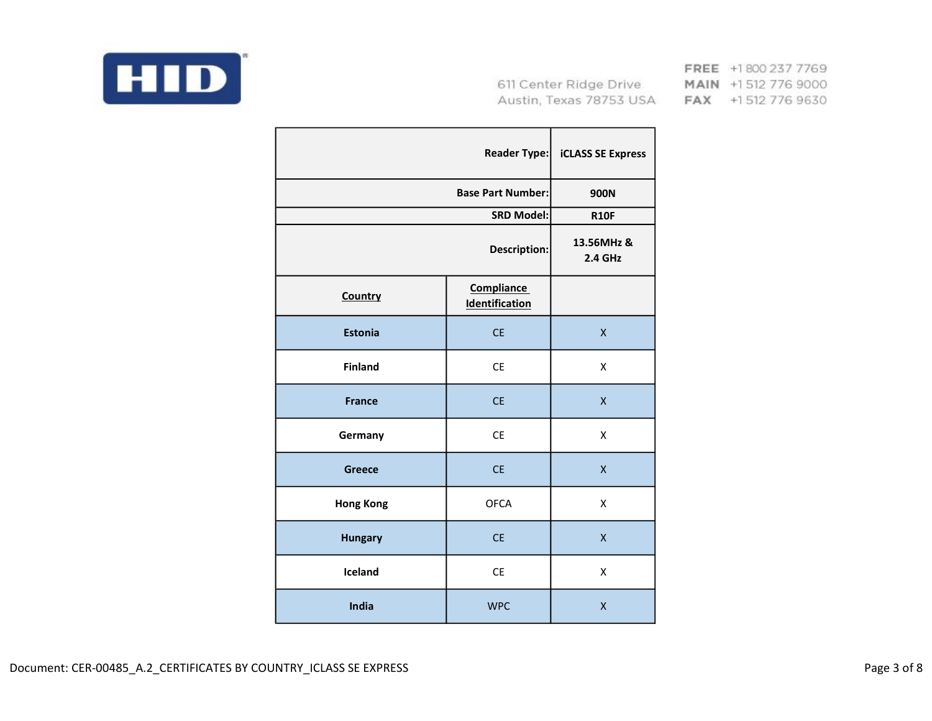

|                  | <b>Reader Type:</b>                        | <b>iCLASS SE Express</b>     |
|------------------|--------------------------------------------|------------------------------|
|                  | <b>Base Part Number:</b>                   | 900N                         |
|                  | <b>SRD Model:</b>                          | <b>R10F</b>                  |
|                  | <b>Description:</b>                        | 13.56MHz &<br><b>2.4 GHz</b> |
| Country          | <b>Compliance</b><br><b>Identification</b> |                              |
| <b>Estonia</b>   | <b>CE</b>                                  | $\mathsf{X}$                 |
| <b>Finland</b>   | <b>CE</b>                                  | X                            |
| <b>France</b>    | <b>CE</b>                                  | $\mathsf{x}$                 |
| Germany          | <b>CE</b>                                  | X                            |
| <b>Greece</b>    | <b>CE</b>                                  | $\mathsf{X}$                 |
| <b>Hong Kong</b> | <b>OFCA</b>                                | X                            |
| <b>Hungary</b>   | <b>CE</b>                                  | X                            |
| Iceland          | <b>CE</b>                                  | X                            |
| India            | <b>WPC</b>                                 | X                            |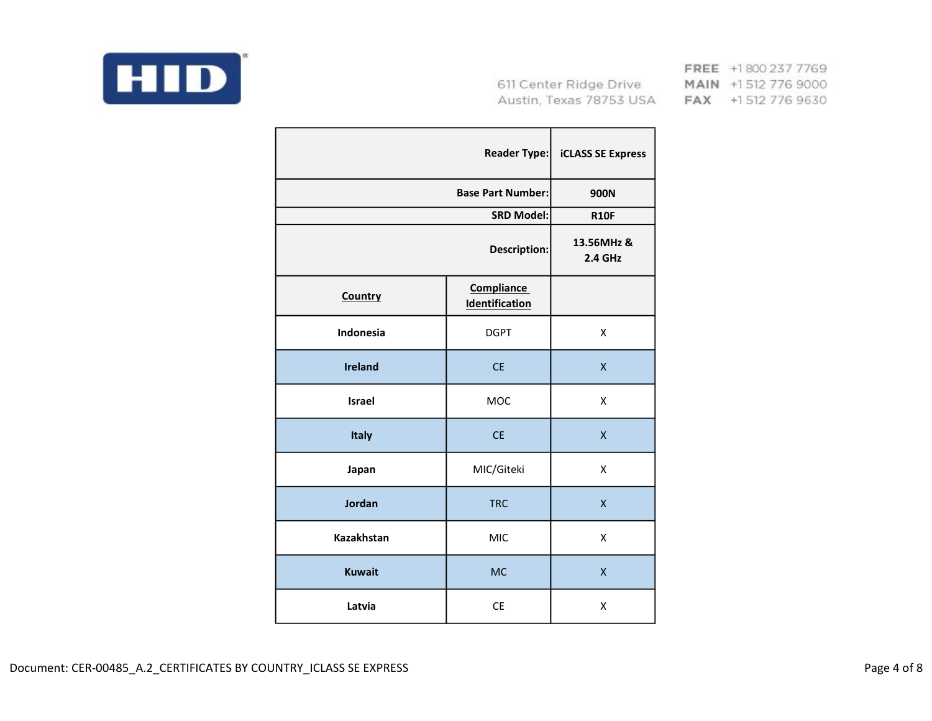

|                   | <b>Reader Type:</b>                        | <b>iCLASS SE Express</b>     |
|-------------------|--------------------------------------------|------------------------------|
|                   | <b>Base Part Number:</b>                   | 900N                         |
|                   | <b>SRD Model:</b>                          | <b>R10F</b>                  |
|                   | <b>Description:</b>                        | 13.56MHz &<br><b>2.4 GHz</b> |
| Country           | <b>Compliance</b><br><b>Identification</b> |                              |
| <b>Indonesia</b>  | <b>DGPT</b>                                | X                            |
| <b>Ireland</b>    | <b>CE</b>                                  | $\mathsf{x}$                 |
| <b>Israel</b>     | MOC                                        | X                            |
| Italy             | <b>CE</b>                                  | $\mathsf{X}$                 |
| Japan             | MIC/Giteki                                 | X                            |
| Jordan            | <b>TRC</b>                                 | $\mathsf{x}$                 |
| <b>Kazakhstan</b> | <b>MIC</b>                                 | X                            |
| <b>Kuwait</b>     | <b>MC</b>                                  | $\mathsf{X}$                 |
| Latvia            | <b>CE</b>                                  | X                            |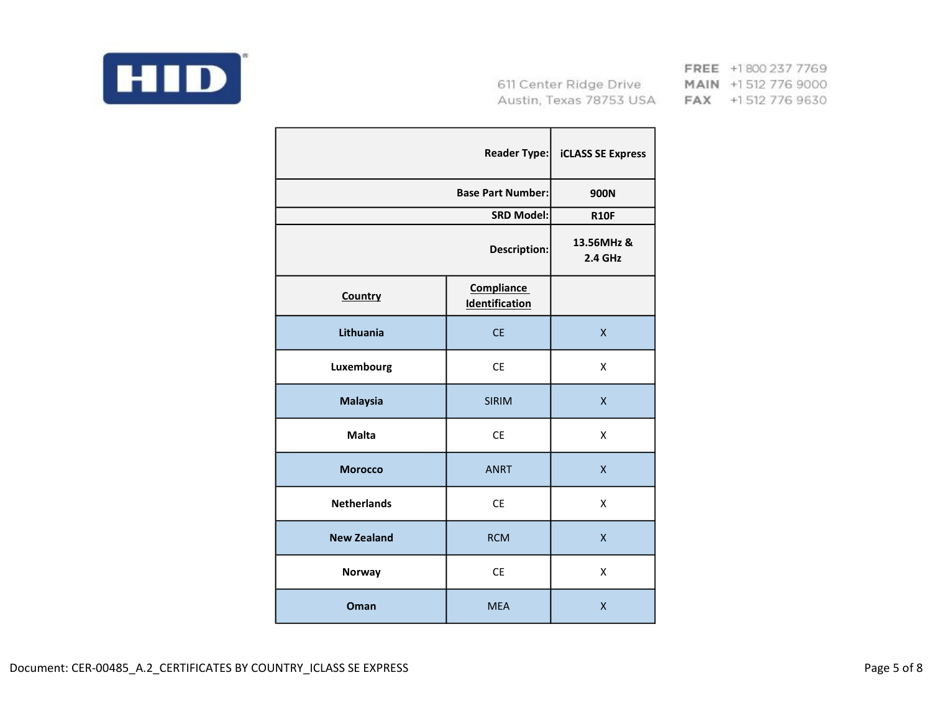

|                    | <b>Reader Type:</b>                        | <b>iCLASS SE Express</b> |
|--------------------|--------------------------------------------|--------------------------|
|                    | <b>Base Part Number:</b>                   | 900N                     |
|                    | <b>SRD Model:</b>                          | <b>R10F</b>              |
|                    | Description:                               | 13.56MHz &<br>2.4 GHz    |
| Country            | <b>Compliance</b><br><b>Identification</b> |                          |
| Lithuania          | <b>CE</b>                                  | $\mathsf{x}$             |
| Luxembourg         | CE                                         | X                        |
| <b>Malaysia</b>    | <b>SIRIM</b>                               | X                        |
| <b>Malta</b>       | <b>CE</b>                                  | Χ                        |
| <b>Morocco</b>     | <b>ANRT</b>                                | $\mathsf{x}$             |
| <b>Netherlands</b> | <b>CE</b>                                  | X                        |
| <b>New Zealand</b> | <b>RCM</b>                                 | X                        |
| <b>Norway</b>      | <b>CE</b>                                  | X                        |
| Oman               | <b>MEA</b>                                 | X                        |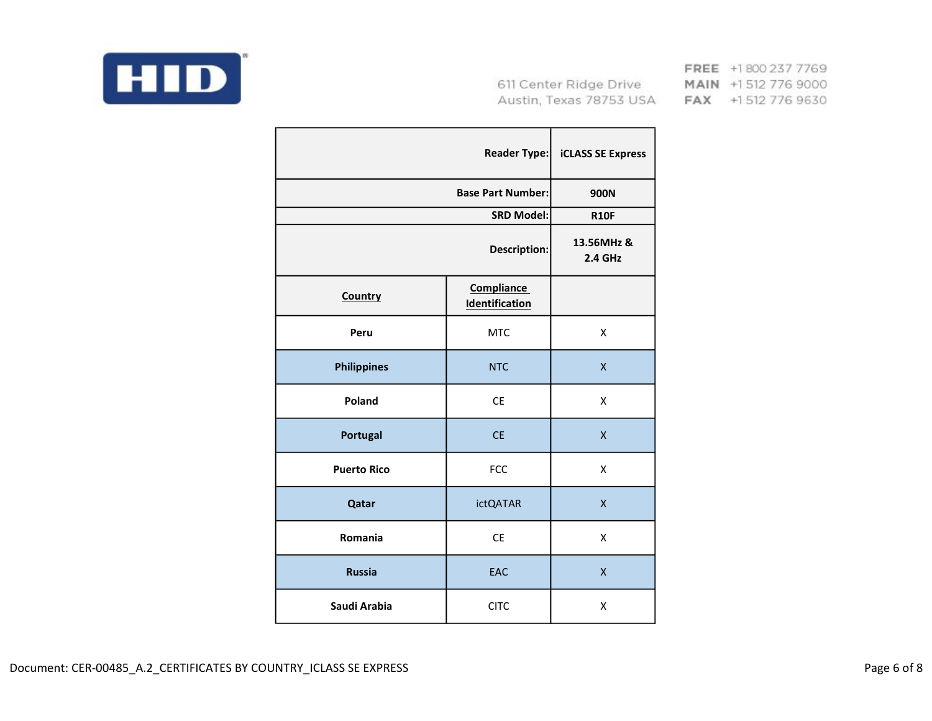

|                    | <b>Reader Type:</b>                        | <b>iCLASS SE Express</b>     |
|--------------------|--------------------------------------------|------------------------------|
|                    | <b>Base Part Number:</b>                   | 900N                         |
|                    | <b>SRD Model:</b>                          | <b>R10F</b>                  |
|                    | <b>Description:</b>                        | 13.56MHz &<br><b>2.4 GHz</b> |
| Country            | <b>Compliance</b><br><b>Identification</b> |                              |
| Peru               | <b>MTC</b>                                 | X                            |
| <b>Philippines</b> | <b>NTC</b>                                 | X                            |
| Poland             | <b>CE</b>                                  | X                            |
| Portugal           | <b>CE</b>                                  | $\mathsf{x}$                 |
| <b>Puerto Rico</b> | <b>FCC</b>                                 | X                            |
| Qatar              | <b>ictQATAR</b>                            | $\mathsf{x}$                 |
| Romania            | <b>CE</b>                                  | X                            |
| <b>Russia</b>      | <b>EAC</b>                                 | X                            |
| Saudi Arabia       | <b>CITC</b>                                | X                            |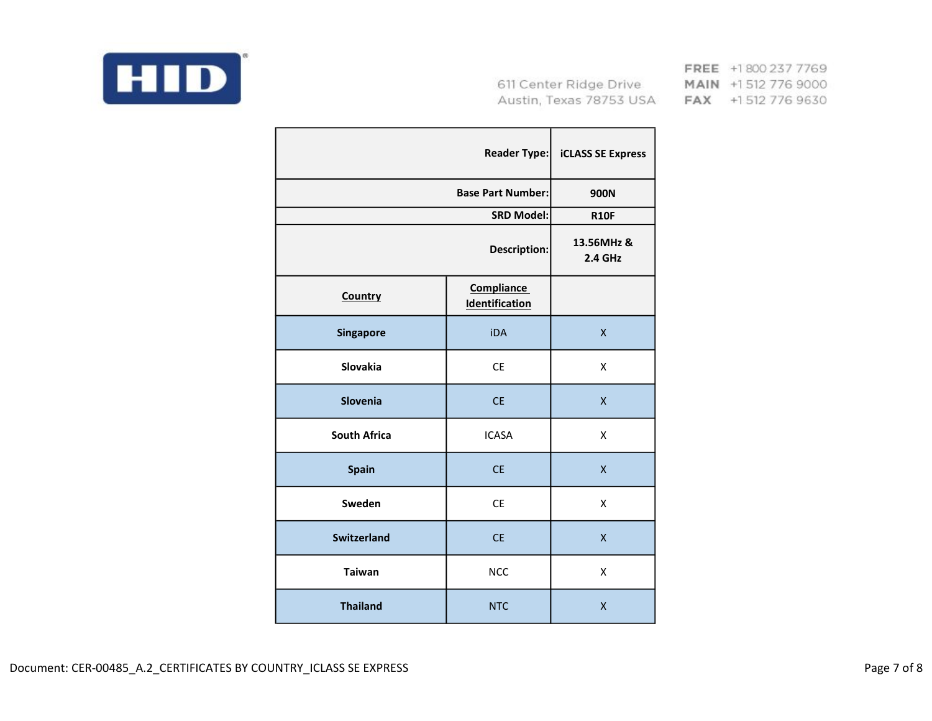

|                     | <b>Reader Type:</b>                 | <b>iCLASS SE Express</b>     |
|---------------------|-------------------------------------|------------------------------|
|                     | <b>Base Part Number:</b>            | 900N                         |
|                     | <b>SRD Model:</b>                   | <b>R10F</b>                  |
|                     | Description:                        | 13.56MHz &<br><b>2.4 GHz</b> |
| Country             | <b>Compliance</b><br>Identification |                              |
| <b>Singapore</b>    | <b>iDA</b>                          | $\mathsf{x}$                 |
| <b>Slovakia</b>     | <b>CE</b>                           | X                            |
| <b>Slovenia</b>     | <b>CE</b>                           | X                            |
| <b>South Africa</b> | <b>ICASA</b>                        | X                            |
| Spain               | <b>CE</b>                           | X.                           |
| Sweden              | <b>CE</b>                           | Χ                            |
| <b>Switzerland</b>  | <b>CE</b>                           | X                            |
| <b>Taiwan</b>       | <b>NCC</b>                          | X                            |
| <b>Thailand</b>     | <b>NTC</b>                          | X                            |